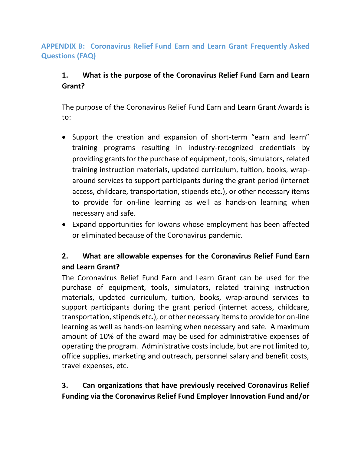## **APPENDIX B: Coronavirus Relief Fund Earn and Learn Grant Frequently Asked Questions (FAQ)**

# **1. What is the purpose of the Coronavirus Relief Fund Earn and Learn Grant?**

The purpose of the Coronavirus Relief Fund Earn and Learn Grant Awards is to:

- Support the creation and expansion of short-term "earn and learn" training programs resulting in industry-recognized credentials by providing grants for the purchase of equipment, tools, simulators, related training instruction materials, updated curriculum, tuition, books, wraparound services to support participants during the grant period (internet access, childcare, transportation, stipends etc.), or other necessary items to provide for on-line learning as well as hands-on learning when necessary and safe.
- Expand opportunities for Iowans whose employment has been affected or eliminated because of the Coronavirus pandemic.

# **2. What are allowable expenses for the Coronavirus Relief Fund Earn and Learn Grant?**

The Coronavirus Relief Fund Earn and Learn Grant can be used for the purchase of equipment, tools, simulators, related training instruction materials, updated curriculum, tuition, books, wrap-around services to support participants during the grant period (internet access, childcare, transportation, stipends etc.), or other necessary items to provide for on-line learning as well as hands-on learning when necessary and safe. A maximum amount of 10% of the award may be used for administrative expenses of operating the program. Administrative costs include, but are not limited to, office supplies, marketing and outreach, personnel salary and benefit costs, travel expenses, etc.

# **3. Can organizations that have previously received Coronavirus Relief Funding via the Coronavirus Relief Fund Employer Innovation Fund and/or**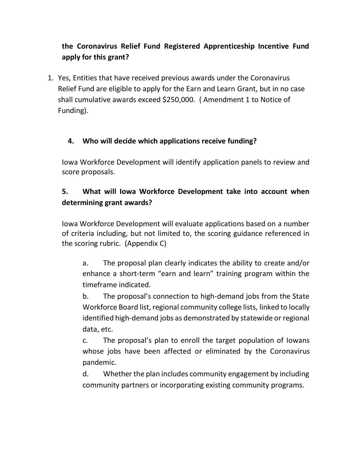# **the Coronavirus Relief Fund Registered Apprenticeship Incentive Fund apply for this grant?**

1. Yes, Entities that have received previous awards under the Coronavirus Relief Fund are eligible to apply for the Earn and Learn Grant, but in no case shall cumulative awards exceed \$250,000. ( Amendment 1 to Notice of Funding).

#### **4. Who will decide which applications receive funding?**

Iowa Workforce Development will identify application panels to review and score proposals.

# **5. What will Iowa Workforce Development take into account when determining grant awards?**

Iowa Workforce Development will evaluate applications based on a number of criteria including, but not limited to, the scoring guidance referenced in the scoring rubric. (Appendix C)

a. The proposal plan clearly indicates the ability to create and/or enhance a short-term "earn and learn" training program within the timeframe indicated.

b. The proposal's connection to high-demand jobs from the State Workforce Board list, regional community college lists, linked to locally identified high-demand jobs as demonstrated by statewide or regional data, etc.

c. The proposal's plan to enroll the target population of Iowans whose jobs have been affected or eliminated by the Coronavirus pandemic.

d. Whether the plan includes community engagement by including community partners or incorporating existing community programs.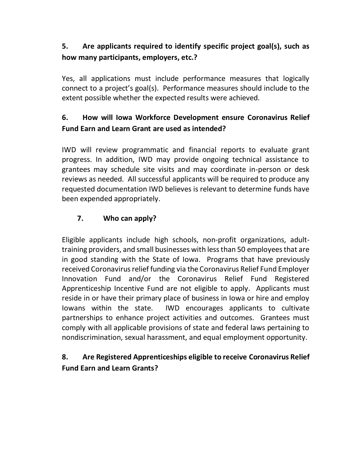# **5. Are applicants required to identify specific project goal(s), such as how many participants, employers, etc.?**

Yes, all applications must include performance measures that logically connect to a project's goal(s). Performance measures should include to the extent possible whether the expected results were achieved.

# **6. How will Iowa Workforce Development ensure Coronavirus Relief Fund Earn and Learn Grant are used as intended?**

IWD will review programmatic and financial reports to evaluate grant progress. In addition, IWD may provide ongoing technical assistance to grantees may schedule site visits and may coordinate in-person or desk reviews as needed. All successful applicants will be required to produce any requested documentation IWD believes is relevant to determine funds have been expended appropriately.

#### **7. Who can apply?**

Eligible applicants include high schools, non-profit organizations, adulttraining providers, and small businesses with less than 50 employees that are in good standing with the State of Iowa. Programs that have previously received Coronavirus relief funding via the Coronavirus Relief Fund Employer Innovation Fund and/or the Coronavirus Relief Fund Registered Apprenticeship Incentive Fund are not eligible to apply. Applicants must reside in or have their primary place of business in Iowa or hire and employ Iowans within the state. IWD encourages applicants to cultivate partnerships to enhance project activities and outcomes. Grantees must comply with all applicable provisions of state and federal laws pertaining to nondiscrimination, sexual harassment, and equal employment opportunity.

# **8. Are Registered Apprenticeships eligible to receive Coronavirus Relief Fund Earn and Learn Grants?**